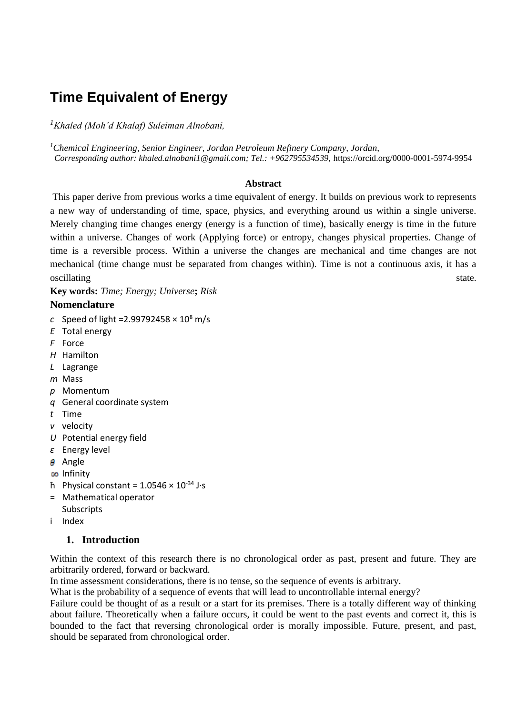# **Time Equivalent of Energy**

*<sup>1</sup>Khaled (Moh'd Khalaf) Suleiman Alnobani,* 

*<sup>1</sup>Chemical Engineering, Senior Engineer, Jordan Petroleum Refinery Company, Jordan, Corresponding author: khaled.alnobani1@gmail.com; Tel.: +962795534539,* <https://orcid.org/0000-0001-5974-9954>

# **Abstract**

This paper derive from previous works a time equivalent of energy. It builds on previous work to represents a new way of understanding of time, space, physics, and everything around us within a single universe. Merely changing time changes energy (energy is a function of time), basically energy is time in the future within a universe. Changes of work (Applying force) or entropy, changes physical properties. Change of time is a reversible process. Within a universe the changes are mechanical and time changes are not mechanical (time change must be separated from changes within). Time is not a continuous axis, it has a oscillating state.

**Key words:** *Time; Energy; Universe***;** *Risk*

# **Nomenclature**

- *c* Speed of light = 2.99792458  $\times$  10<sup>8</sup> m/s
- *E* Total energy
- *F* Force
- *H* Hamilton
- *L* Lagrange
- *m* Mass
- *p* Momentum
- *q* General coordinate system
- *t* Time
- *v* velocity
- *U* Potential energy field
- *ε* Energy level
- $\theta$  Angle
- Infinity
- $\hbar$  Physical constant = 1.0546 × 10<sup>-34</sup> J·s
- = Mathematical operator
- Subscripts
- i Index

# **1. Introduction**

Within the context of this research there is no chronological order as past, present and future. They are arbitrarily ordered, forward or backward.

In time assessment considerations, there is no tense, so the sequence of events is arbitrary.

What is the probability of a sequence of events that will lead to uncontrollable internal energy?

Failure could be thought of as a result or a start for its premises. There is a totally different way of thinking about failure. Theoretically when a failure occurs, it could be went to the past events and correct it, this is bounded to the fact that reversing chronological order is morally impossible. Future, present, and past, should be separated from chronological order.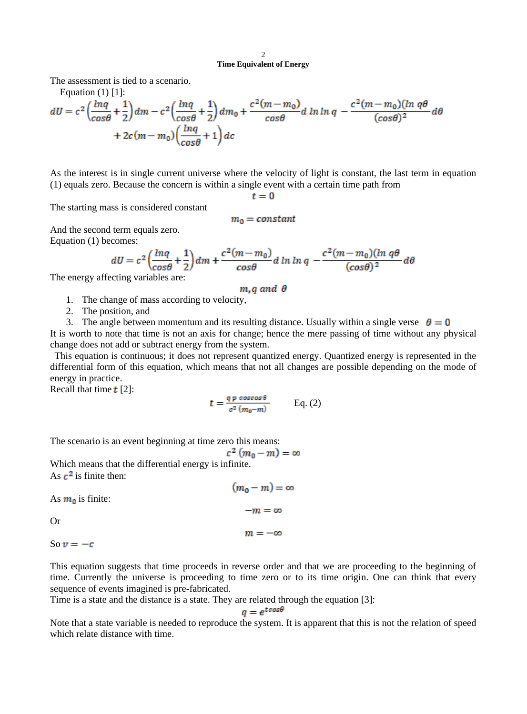The assessment is tied to a scenario.

Equation 
$$
(1)
$$
  $[1]$ :

$$
dU = c^2 \left(\frac{\ln q}{\cos\theta} + \frac{1}{2}\right) dm - c^2 \left(\frac{\ln q}{\cos\theta} + \frac{1}{2}\right) dm_0 + \frac{c^2 (m - m_0)}{\cos\theta} d \ln \ln q - \frac{c^2 (m - m_0)(\ln q\theta)}{(\cos\theta)^2} d\theta
$$
  
+ 2c(m - m<sub>0</sub>)  $\left(\frac{\ln q}{\cos\theta} + 1\right) dc$ 

As the interest is in single current universe where the velocity of light is constant, the last term in equation (1) equals zero. Because the concern is within a single event with a certain time path from

 $t=0$ 

The starting mass is considered constant

$$
m_0 = constant
$$

And the second term equals zero.

Equation (1) becomes:

$$
dU = c^2 \left( \frac{lnq}{cos\theta} + \frac{1}{2} \right) dm + \frac{c^2 (m - m_0)}{cos\theta} d \ln \ln q - \frac{c^2 (m - m_0)(ln q\theta)}{(cos\theta)^2} d\theta
$$

The energy affecting variables are:

 $m$ , q and  $\theta$ 

- 1. The change of mass according to velocity,
- 2. The position, and
- 3. The angle between momentum and its resulting distance. Usually within a single verse  $\theta = 0$

It is worth to note that time is not an axis for change; hence the mere passing of time without any physical change does not add or subtract energy from the system.

This equation is continuous; it does not represent quantized energy. Quantized energy is represented in the differential form of this equation, which means that not all changes are possible depending on the mode of energy in practice.

Recall that time  $t$  [2]:

$$
t = \frac{q \ p \ cos \cos \theta}{c^2 \ (m_0 - m)} \qquad \text{Eq. (2)}
$$

The scenario is an event beginning at time zero this means:

$$
c^2(m_0-m)=\infty
$$

Which means that the differential energy is infinite. As  $c^2$  is finite then:

 $(m_0 - m) = \infty$ As  $m_0$  is finite:  $-m = \infty$ Or  $m = -\infty$ So  $v = -c$ 

This equation suggests that time proceeds in reverse order and that we are proceeding to the beginning of time. Currently the universe is proceeding to time zero or to its time origin. One can think that every sequence of events imagined is pre-fabricated.

Time is a state and the distance is a state. They are related through the equation [3]:

$$
q=e^{t\cos}
$$

Note that a state variable is needed to reproduce the system. It is apparent that this is not the relation of speed which relate distance with time.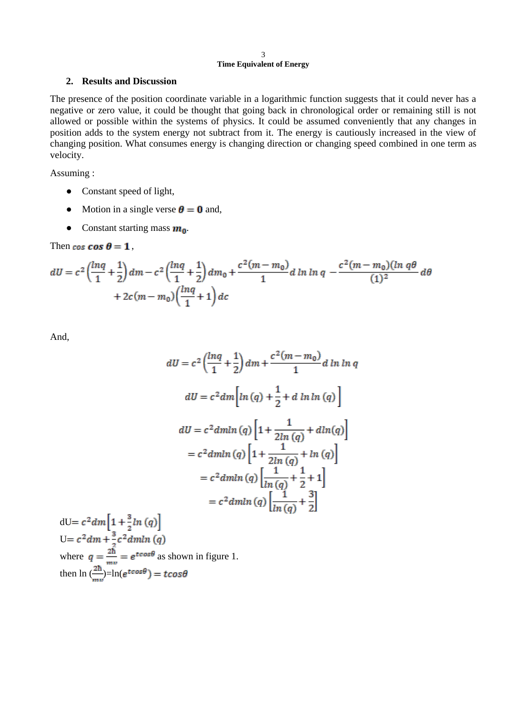#### 3 **Time Equivalent of Energy**

# **2. Results and Discussion**

The presence of the position coordinate variable in a logarithmic function suggests that it could never has a negative or zero value, it could be thought that going back in chronological order or remaining still is not allowed or possible within the systems of physics. It could be assumed conveniently that any changes in position adds to the system energy not subtract from it. The energy is cautiously increased in the view of changing position. What consumes energy is changing direction or changing speed combined in one term as velocity.

Assuming :

- Constant speed of light,
- Motion in a single verse  $\theta = 0$  and,
- Constant starting mass  $m_0$ .

Then cos  $\cos \theta = 1$ ,

$$
dU = c^2 \left( \frac{\ln q}{1} + \frac{1}{2} \right) dm - c^2 \left( \frac{\ln q}{1} + \frac{1}{2} \right) dm_0 + \frac{c^2 (m - m_0)}{1} d \ln \ln q - \frac{c^2 (m - m_0)(\ln q\theta)}{(1)^2} d\theta + 2c (m - m_0) \left( \frac{\ln q}{1} + 1 \right) dc
$$

And,

$$
dU = c^2 \left(\frac{\ln q}{1} + \frac{1}{2}\right) dm + \frac{c^2(m - m_0)}{1} d \ln \ln q
$$
  

$$
dU = c^2 dm \left[ \ln \left( q \right) + \frac{1}{2} + d \ln \ln \left( q \right) \right]
$$
  

$$
dU = c^2 dm \ln \left( q \right) \left[ 1 + \frac{1}{2\ln \left( q \right)} + d\ln \left( q \right) \right]
$$
  

$$
= c^2 dm \ln \left( q \right) \left[ 1 + \frac{1}{2\ln \left( q \right)} + \ln \left( q \right) \right]
$$
  

$$
= c^2 dm \ln \left( q \right) \left[ \frac{1}{\ln \left( q \right)} + \frac{1}{2} + 1 \right]
$$
  

$$
= c^2 dm \ln \left( q \right) \left[ \frac{1}{\ln \left( q \right)} + \frac{3}{2} \right]
$$
  

$$
H + \frac{3}{2} \ln \left( q \right)
$$

 $dU = c^2 dm$ <sup>[</sup>1  $U = c^2 dm + \frac{3}{2} c^2 dmln (q)$ where  $q = \frac{2m}{s} = e^{t \cos \theta}$  as shown in figure 1. then  $\ln \left( \frac{2\pi}{n} \right) = \ln(n)$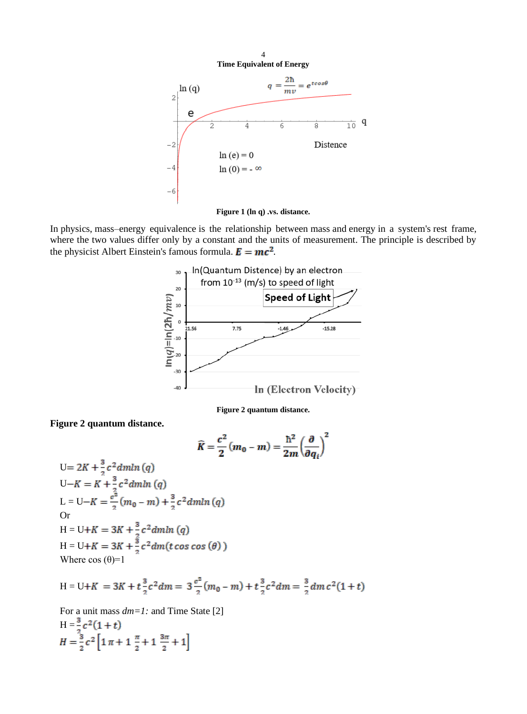



In [physics,](https://en.wikipedia.org/wiki/Physics) mass–energy equivalence is the relationship between [mass](https://en.wikipedia.org/wiki/Mass) and [energy](https://en.wikipedia.org/wiki/Energy) in a system's [rest frame,](https://en.wikipedia.org/wiki/Rest_frame) where the two values differ only by a constant and the units of measurement. The principle is described by the physicist [Albert Einstein's](https://en.wikipedia.org/wiki/Albert_Einstein) famous formula.  $\mathbf{E} = mc^2$ .



**Figure 2 quantum distance.**

**Figure 2 quantum distance.**

$$
\widehat{K} = \frac{c^2}{2}(m_0 - m) = \frac{\hbar^2}{2m} \left(\frac{\partial}{\partial q_i}\right)^2
$$

$$
U = 2K + \frac{3}{2}c^2 dmln (q)
$$
  
\n
$$
U-K = K + \frac{3}{2}c^2 dmln (q)
$$
  
\n
$$
L = U-K = \frac{c^2}{2}(m_0 - m) + \frac{3}{2}c^2 dmln (q)
$$
  
\nOr  
\n
$$
H = U+K = 3K + \frac{3}{2}c^2 dmln (q)
$$
  
\n
$$
H = U+K = 3K + \frac{3}{2}c^2 dml (t \cos \cos (\theta))
$$
  
\nWhere  $\cos (\theta)=1$ 

H = U+K = 3K + 
$$
t \frac{3}{2}c^2 dm
$$
 =  $3 \frac{c^2}{2}(m_0 - m) + t \frac{3}{2}c^2 dm$  =  $\frac{3}{2} dm c^2 (1 + t)$ 

For a unit mass *dm=1:* and Time State [2] H =  $\frac{3}{2}c^2(1+t)$ <br>
H =  $\frac{3}{2}c^2[1 \pi + 1 \frac{\pi}{2} + 1 \frac{3\pi}{2} + 1]$